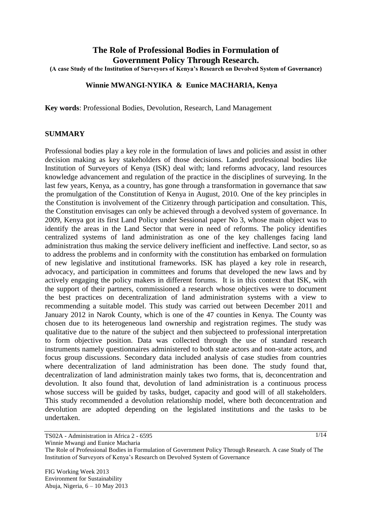# **The Role of Professional Bodies in Formulation of Government Policy Through Research.**

**(A case Study of the Institution of Surveyors of Kenya's Research on Devolved System of Governance)**

#### **Winnie MWANGI-NYIKA & Eunice MACHARIA, Kenya**

**Key words**: Professional Bodies, Devolution, Research, Land Management

#### **SUMMARY**

Professional bodies play a key role in the formulation of laws and policies and assist in other decision making as key stakeholders of those decisions. Landed professional bodies like Institution of Surveyors of Kenya (ISK) deal with; land reforms advocacy, land resources knowledge advancement and regulation of the practice in the disciplines of surveying. In the last few years, Kenya, as a country, has gone through a transformation in governance that saw the promulgation of the Constitution of Kenya in August, 2010. One of the key principles in the Constitution is involvement of the Citizenry through participation and consultation. This, the Constitution envisages can only be achieved through a devolved system of governance. In 2009, Kenya got its first Land Policy under Sessional paper No 3, whose main object was to identify the areas in the Land Sector that were in need of reforms. The policy identifies centralized systems of land administration as one of the key challenges facing land administration thus making the service delivery inefficient and ineffective. Land sector, so as to address the problems and in conformity with the constitution has embarked on formulation of new legislative and institutional frameworks. ISK has played a key role in research, advocacy, and participation in committees and forums that developed the new laws and by actively engaging the policy makers in different forums. It is in this context that ISK, with the support of their partners, commissioned a research whose objectives were to document the best practices on decentralization of land administration systems with a view to recommending a suitable model. This study was carried out between December 2011 and January 2012 in Narok County, which is one of the 47 counties in Kenya. The County was chosen due to its heterogeneous land ownership and registration regimes. The study was qualitative due to the nature of the subject and then subjecteed to professional interpretation to form objective position. Data was collected through the use of standard research instruments namely questionnaires administered to both state actors and non-state actors, and focus group discussions. Secondary data included analysis of case studies from countries where decentralization of land administration has been done. The study found that, decentralization of land administration mainly takes two forms, that is, deconcentration and devolution. It also found that, devolution of land administration is a continuous process whose success will be guided by tasks, budget, capacity and good will of all stakeholders. This study recommended a devolution relationship model, where both deconcentration and devolution are adopted depending on the legislated institutions and the tasks to be undertaken.

TS02A - Administration in Africa 2 - 6595

Winnie Mwangi and Eunice Macharia

The Role of Professional Bodies in Formulation of Government Policy Through Research. A case Study of The Institution of Surveyors of Kenya"s Research on Devolved System of Governance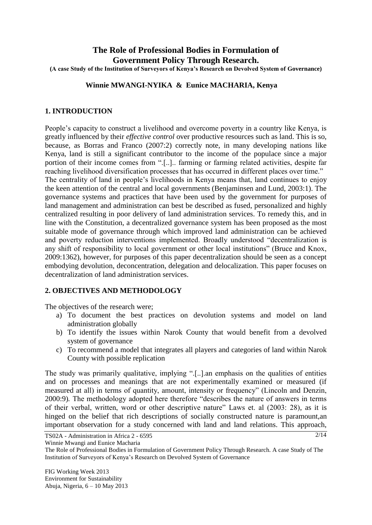# **The Role of Professional Bodies in Formulation of Government Policy Through Research.**

**(A case Study of the Institution of Surveyors of Kenya's Research on Devolved System of Governance)**

### **Winnie MWANGI-NYIKA & Eunice MACHARIA, Kenya**

### **1. INTRODUCTION**

People's capacity to construct a livelihood and overcome poverty in a country like Kenya, is greatly influenced by their *effective control* over productive resources such as land. This is so, because, as Borras and Franco (2007:2) correctly note, in many developing nations like Kenya, land is still a significant contributor to the income of the populace since a major portion of their income comes from ".[..].. farming or farming related activities, despite far reaching livelihood diversification processes that has occurred in different places over time." The centrality of land in people"s livelihoods in Kenya means that, land continues to enjoy the keen attention of the central and local governments (Benjaminsen and Lund, 2003:1). The governance systems and practices that have been used by the government for purposes of land management and administration can best be described as fused, personalized and highly centralized resulting in poor delivery of land administration services. To remedy this, and in line with the Constitution, a decentralized governance system has been proposed as the most suitable mode of governance through which improved land administration can be achieved and poverty reduction interventions implemented. Broadly understood "decentralization is any shift of responsibility to local government or other local institutions" (Bruce and Knox, 2009:1362), however, for purposes of this paper decentralization should be seen as a concept embodying devolution, deconcentration, delegation and delocalization. This paper focuses on decentralization of land administration services.

### **2. OBJECTIVES AND METHODOLOGY**

The objectives of the research were;

- a) To document the best practices on devolution systems and model on land administration globally
- b) To identify the issues within Narok County that would benefit from a devolved system of governance
- c) To recommend a model that integrates all players and categories of land within Narok County with possible replication

The study was primarily qualitative, implying ".[..].an emphasis on the qualities of entities and on processes and meanings that are not experimentally examined or measured (if measured at all) in terms of quantity, amount, intensity or frequency" (Lincoln and Denzin, 2000:9)*.* The methodology adopted here therefore "describes the nature of answers in terms of their verbal, written, word or other descriptive nature" Laws et. al (2003: 28), as it is hinged on the belief that rich descriptions of socially constructed nature is paramount,an important observation for a study concerned with land and land relations. This approach,

TS02A - Administration in Africa 2 - 6595

Winnie Mwangi and Eunice Macharia

The Role of Professional Bodies in Formulation of Government Policy Through Research. A case Study of The Institution of Surveyors of Kenya"s Research on Devolved System of Governance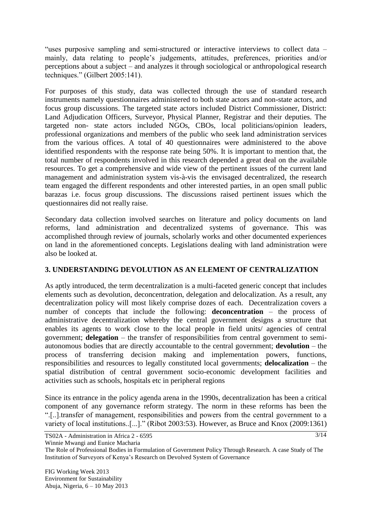"uses purposive sampling and semi-structured or interactive interviews to collect data – mainly, data relating to people"s judgements, attitudes, preferences, priorities and/or perceptions about a subject – and analyzes it through sociological or anthropological research techniques." (Gilbert 2005:141).

For purposes of this study, data was collected through the use of standard research instruments namely questionnaires administered to both state actors and non-state actors, and focus group discussions. The targeted state actors included District Commissioner, District: Land Adjudication Officers, Surveyor, Physical Planner, Registrar and their deputies. The targeted non- state actors included NGOs, CBOs, local politicians/opinion leaders, professional organizations and members of the public who seek land administration services from the various offices. A total of 40 questionnaires were administered to the above identified respondents with the response rate being 50%. It is important to mention that, the total number of respondents involved in this research depended a great deal on the available resources. To get a comprehensive and wide view of the pertinent issues of the current land management and administration system vis-à-vis the envisaged decentralized, the research team engaged the different respondents and other interested parties, in an open small public barazas i.e. focus group discussions. The discussions raised pertinent issues which the questionnaires did not really raise.

Secondary data collection involved searches on literature and policy documents on land reforms, land administration and decentralized systems of governance. This was accomplished through review of journals, scholarly works and other documented experiences on land in the aforementioned concepts. Legislations dealing with land administration were also be looked at.

# **3. UNDERSTANDING DEVOLUTION AS AN ELEMENT OF CENTRALIZATION**

As aptly introduced, the term decentralization is a multi-faceted generic concept that includes elements such as devolution, deconcentration, delegation and delocalization. As a result, any decentralization policy will most likely comprise dozes of each. Decentralization covers a number of concepts that include the following: **deconcentration** – the process of administrative decentralization whereby the central government designs a structure that enables its agents to work close to the local people in field units/ agencies of central government; **delegation** – the transfer of responsibilities from central government to semiautonomous bodies that are directly accountable to the central government; **devolution** – the process of transferring decision making and implementation powers, functions, responsibilities and resources to legally constituted local governments; **delocalization** – the spatial distribution of central government socio-economic development facilities and activities such as schools, hospitals etc in peripheral regions

Since its entrance in the policy agenda arena in the 1990s, decentralization has been a critical component of any governance reform strategy. The norm in these reforms has been the ".[..].transfer of management, responsibilities and powers from the central government to a variety of local institutions..[...]." (Ribot 2003:53). However, as Bruce and Knox (2009:1361)

Winnie Mwangi and Eunice Macharia

TS02A - Administration in Africa 2 - 6595

The Role of Professional Bodies in Formulation of Government Policy Through Research. A case Study of The Institution of Surveyors of Kenya"s Research on Devolved System of Governance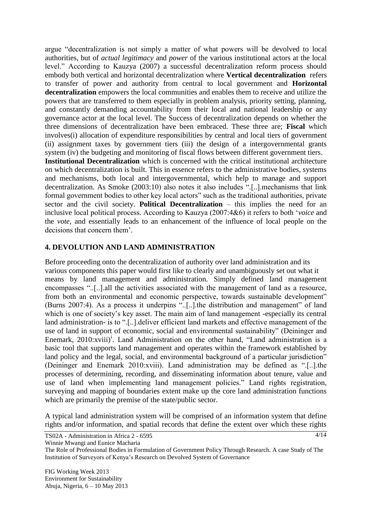argue "decentralization is not simply a matter of what powers will be devolved to local authorities, but of *actual legitimacy* and *power* of the various institutional actors at the local level." According to Kauzya (2007) a successful decentralization reform process should embody both vertical and horizontal decentralization where **Vertical decentralization** refers to transfer of power and authority from central to local government and **Horizontal decentralization** empowers the local communities and enables them to receive and utilize the powers that are transferred to them especially in problem analysis, priority setting, planning, and constantly demanding accountability from their local and national leadership or any governance actor at the local level. The Success of decentralization depends on whether the three dimensions of decentralization have been embraced. These three are; **Fiscal** which involves(i) allocation of expenditure responsibilities by central and local tiers of government (ii) assignment taxes by government tiers (iii) the design of a intergovernmental grants system (iv) the budgeting and monitoring of fiscal flows between different government tiers. **Institutional Decentralization** which is concerned with the critical institutional architecture

on which decentralization is built. This in essence refers to the administrative bodies, systems and mechanisms, both local and intergovernmental, which help to manage and support decentralization. As Smoke (2003:10) also notes it also includes ".[..].mechanisms that link formal government bodies to other key local actors" such as the traditional authorities, private sector and the civil society. **Political Decentralization** – this implies the need for an inclusive local political process. According to Kauzya (2007:4&6) it refers to both "*voice* and the *vote*, and essentially leads to an enhancement of the influence of local people on the decisions that concern them".

#### **4. DEVOLUTION AND LAND ADMINISTRATION**

Before proceeding onto the decentralization of authority over land administration and its various components this paper would first like to clearly and unambiguously set out what it means by land management and administration. Simply defined land management encompasses "..[..].all the activities associated with the management of land as a resource, from both an environmental and economic perspective, towards sustainable development" (Burns 2007:4). As a process it underpins "..[..].the distribution and management" of land which is one of society's key asset. The main aim of land management -especially its central land administration- is to ".[..].deliver efficient land markets and effective management of the use of land in support of economic, social and environmental sustainability" (Deininger and Enemark, 2010:xviii)<sup>i</sup>. Land Administration on the other hand, "Land administration is a basic tool that supports land management and operates within the framework established by land policy and the legal, social, and environmental background of a particular jurisdiction" (Deininger and Enemark 2010:xviii). Land administration may be defined as ".[..].the processes of determining, recording, and disseminating information about tenure, value and use of land when implementing land management policies." Land rights registration, surveying and mapping of boundaries extent make up the core land administration functions which are primarily the premise of the state/public sector.

A typical land administration system will be comprised of an information system that define rights and/or information, and spatial records that define the extent over which these rights

TS02A - Administration in Africa 2 - 6595

Winnie Mwangi and Eunice Macharia

The Role of Professional Bodies in Formulation of Government Policy Through Research. A case Study of The Institution of Surveyors of Kenya"s Research on Devolved System of Governance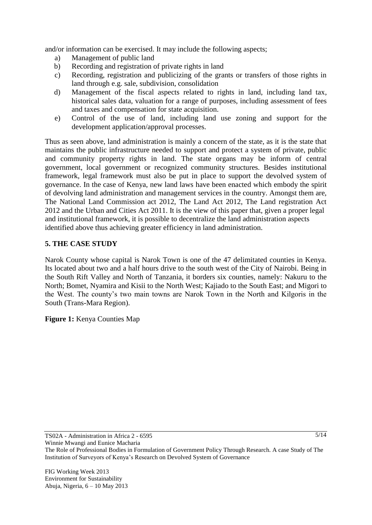and/or information can be exercised. It may include the following aspects;

- a) Management of public land
- b) Recording and registration of private rights in land
- c) Recording, registration and publicizing of the grants or transfers of those rights in land through e.g. sale, subdivision, consolidation
- d) Management of the fiscal aspects related to rights in land, including land tax, historical sales data, valuation for a range of purposes, including assessment of fees and taxes and compensation for state acquisition.
- e) Control of the use of land, including land use zoning and support for the development application/approval processes.

Thus as seen above, land administration is mainly a concern of the state, as it is the state that maintains the public infrastructure needed to support and protect a system of private, public and community property rights in land. The state organs may be inform of central government, local government or recognized community structures. Besides institutional framework, legal framework must also be put in place to support the devolved system of governance. In the case of Kenya, new land laws have been enacted which embody the spirit of devolving land administration and management services in the country. Amongst them are, The National Land Commission act 2012, The Land Act 2012, The Land registration Act 2012 and the Urban and Cities Act 2011. It is the view of this paper that, given a proper legal and institutional framework, it is possible to decentralize the land administration aspects identified above thus achieving greater efficiency in land administration.

### **5. THE CASE STUDY**

Narok County whose capital is Narok Town is one of the 47 delimitated counties in Kenya. Its located about two and a half hours drive to the south west of the City of Nairobi. Being in the South Rift Valley and North of Tanzania, it borders six counties, namely: Nakuru to the North; Bomet, Nyamira and Kisii to the North West; Kajiado to the South East; and Migori to the West. The county"s two main towns are Narok Town in the North and Kilgoris in the South (Trans-Mara Region).

**Figure 1:** Kenya Counties Map

TS02A - Administration in Africa 2 - 6595

The Role of Professional Bodies in Formulation of Government Policy Through Research. A case Study of The Institution of Surveyors of Kenya"s Research on Devolved System of Governance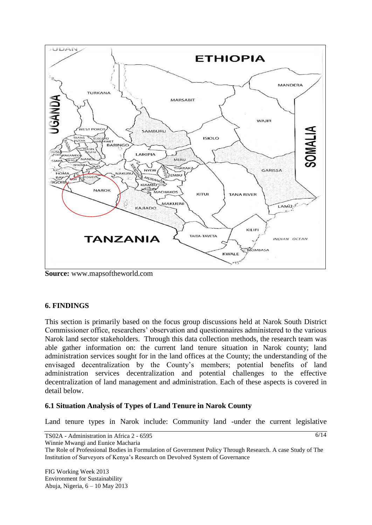

**Source:** www.mapsoftheworld.com

### **6. FINDINGS**

This section is primarily based on the focus group discussions held at Narok South District Commissioner office, researchers" observation and questionnaires administered to the various Narok land sector stakeholders. Through this data collection methods, the research team was able gather information on: the current land tenure situation in Narok county; land administration services sought for in the land offices at the County; the understanding of the envisaged decentralization by the County"s members; potential benefits of land administration services decentralization and potential challenges to the effective decentralization of land management and administration. Each of these aspects is covered in detail below.

#### **6.1 Situation Analysis of Types of Land Tenure in Narok County**

Land tenure types in Narok include: Community land -under the current legislative

TS02A - Administration in Africa 2 - 6595 Winnie Mwangi and Eunice Macharia The Role of Professional Bodies in Formulation of Government Policy Through Research. A case Study of The Institution of Surveyors of Kenya"s Research on Devolved System of Governance  $6/14$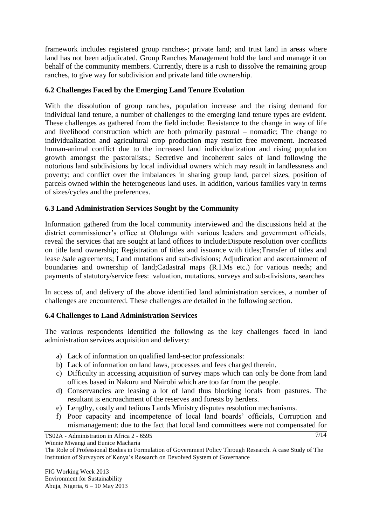framework includes registered group ranches-; private land; and trust land in areas where land has not been adjudicated. Group Ranches Management hold the land and manage it on behalf of the community members. Currently, there is a rush to dissolve the remaining group ranches, to give way for subdivision and private land title ownership.

## **6.2 Challenges Faced by the Emerging Land Tenure Evolution**

With the dissolution of group ranches, population increase and the rising demand for individual land tenure, a number of challenges to the emerging land tenure types are evident. These challenges as gathered from the field include: Resistance to the change in way of life and livelihood construction which are both primarily pastoral – nomadic; The change to individualization and agricultural crop production may restrict free movement. Increased human-animal conflict due to the increased land individualization and rising population growth amongst the pastoralists.; Secretive and incoherent sales of land following the notorious land subdivisions by local individual owners which may result in landlessness and poverty; and conflict over the imbalances in sharing group land, parcel sizes, position of parcels owned within the heterogeneous land uses. In addition, various families vary in terms of sizes/cycles and the preferences.

## **6.3 Land Administration Services Sought by the Community**

Information gathered from the local community interviewed and the discussions held at the district commissioner's office at Ololunga with various leaders and government officials, reveal the services that are sought at land offices to include:Dispute resolution over conflicts on title land ownership; Registration of titles and issuance with titles;Transfer of titles and lease /sale agreements; Land mutations and sub-divisions; Adjudication and ascertainment of boundaries and ownership of land;Cadastral maps (R.I.Ms etc.) for various needs; and payments of statutory/service fees: valuation, mutations, surveys and sub-divisions, searches

In access of, and delivery of the above identified land administration services, a number of challenges are encountered. These challenges are detailed in the following section.

### **6.4 Challenges to Land Administration Services**

The various respondents identified the following as the key challenges faced in land administration services acquisition and delivery:

- a) Lack of information on qualified land-sector professionals:
- b) Lack of information on land laws, processes and fees charged therein.
- c) Difficulty in accessing acquisition of survey maps which can only be done from land offices based in Nakuru and Nairobi which are too far from the people.
- d) Conservancies are leasing a lot of land thus blocking locals from pastures. The resultant is encroachment of the reserves and forests by herders.
- e) Lengthy, costly and tedious Lands Ministry disputes resolution mechanisms.
- f) Poor capacity and incompetence of local land boards" officials, Corruption and mismanagement: due to the fact that local land committees were not compensated for

TS02A - Administration in Africa 2 - 6595

Winnie Mwangi and Eunice Macharia

The Role of Professional Bodies in Formulation of Government Policy Through Research. A case Study of The Institution of Surveyors of Kenya"s Research on Devolved System of Governance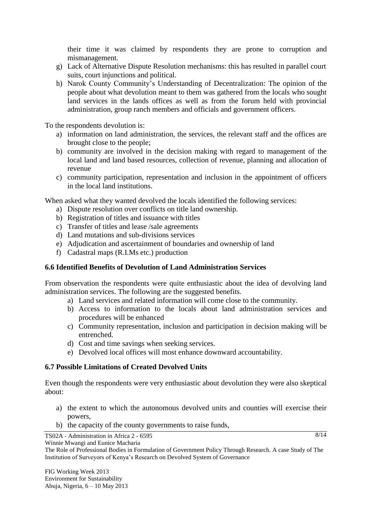their time it was claimed by respondents they are prone to corruption and mismanagement.

- g) Lack of Alternative Dispute Resolution mechanisms: this has resulted in parallel court suits, court injunctions and political.
- h) Narok County Community"s Understanding of Decentralization: The opinion of the people about what devolution meant to them was gathered from the locals who sought land services in the lands offices as well as from the forum held with provincial administration, group ranch members and officials and government officers.

To the respondents devolution is:

- a) information on land administration, the services, the relevant staff and the offices are brought close to the people;
- b) community are involved in the decision making with regard to management of the local land and land based resources, collection of revenue, planning and allocation of revenue
- c) community participation, representation and inclusion in the appointment of officers in the local land institutions.

When asked what they wanted devolved the locals identified the following services:

- a) Dispute resolution over conflicts on title land ownership.
- b) Registration of titles and issuance with titles
- c) Transfer of titles and lease /sale agreements
- d) Land mutations and sub-divisions services
- e) Adjudication and ascertainment of boundaries and ownership of land
- f) Cadastral maps (R.I.Ms etc.) production

### **6.6 Identified Benefits of Devolution of Land Administration Services**

From observation the respondents were quite enthusiastic about the idea of devolving land administration services. The following are the suggested benefits.

- a) Land services and related information will come close to the community.
- b) Access to information to the locals about land administration services and procedures will be enhanced
- c) Community representation, inclusion and participation in decision making will be entrenched.
- d) Cost and time savings when seeking services.
- e) Devolved local offices will most enhance downward accountability.

### **6.7 Possible Limitations of Created Devolved Units**

Even though the respondents were very enthusiastic about devolution they were also skeptical about:

a) the extent to which the autonomous devolved units and counties will exercise their powers,

 $8/14$ 

b) the capacity of the county governments to raise funds,

TS02A - Administration in Africa 2 - 6595

The Role of Professional Bodies in Formulation of Government Policy Through Research. A case Study of The Institution of Surveyors of Kenya"s Research on Devolved System of Governance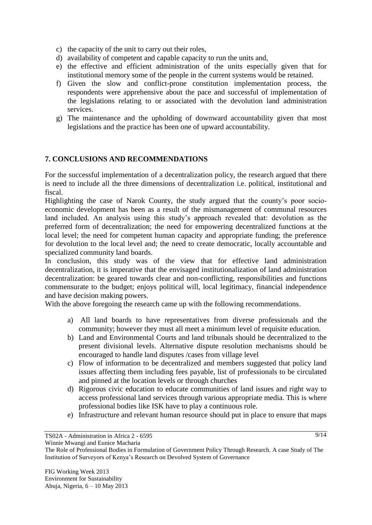- c) the capacity of the unit to carry out their roles,
- d) availability of competent and capable capacity to run the units and,
- e) the effective and efficient administration of the units especially given that for institutional memory some of the people in the current systems would be retained.
- f) Given the slow and conflict-prone constitution implementation process, the respondents were apprehensive about the pace and successful of implementation of the legislations relating to or associated with the devolution land administration services.
- g) The maintenance and the upholding of downward accountability given that most legislations and the practice has been one of upward accountability.

### **7. CONCLUSIONS AND RECOMMENDATIONS**

For the successful implementation of a decentralization policy, the research argued that there is need to include all the three dimensions of decentralization i.e. political, institutional and fiscal.

Highlighting the case of Narok County, the study argued that the county"s poor socioeconomic development has been as a result of the mismanagement of communal resources land included. An analysis using this study"s approach revealed that: devolution as the preferred form of decentralization; the need for empowering decentralized functions at the local level; the need for competent human capacity and appropriate funding; the preference for devolution to the local level and; the need to create democratic, locally accountable and specialized community land boards.

In conclusion, this study was of the view that for effective land administration decentralization, it is imperative that the envisaged institutionalization of land administration decentralization: be geared towards clear and non-conflicting, responsibilities and functions commensurate to the budget; enjoys political will, local legitimacy, financial independence and have decision making powers.

With the above foregoing the research came up with the following recommendations.

- a) All land boards to have representatives from diverse professionals and the community; however they must all meet a minimum level of requisite education.
- b) Land and Environmental Courts and land tribunals should be decentralized to the present divisional levels. Alternative dispute resolution mechanisms should be encouraged to handle land disputes /cases from village level
- c) Flow of information to be decentralized and members suggested that policy land issues affecting them including fees payable, list of professionals to be circulated and pinned at the location levels or through churches
- d) Rigorous civic education to educate communities of land issues and right way to access professional land services through various appropriate media. This is where professional bodies like ISK have to play a continuous role.
- e) Infrastructure and relevant human resource should put in place to ensure that maps

TS02A - Administration in Africa 2 - 6595

The Role of Professional Bodies in Formulation of Government Policy Through Research. A case Study of The Institution of Surveyors of Kenya"s Research on Devolved System of Governance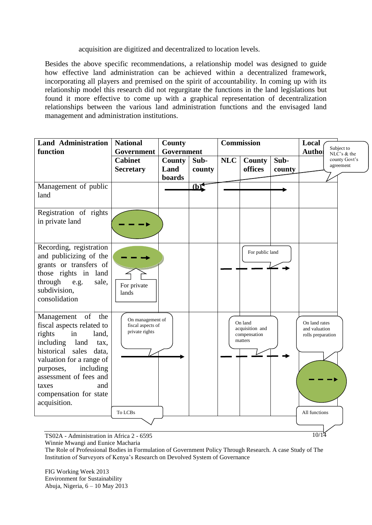acquisition are digitized and decentralized to location levels.

Besides the above specific recommendations, a relationship model was designed to guide how effective land administration can be achieved within a decentralized framework, incorporating all players and premised on the spirit of accountability. In coming up with its relationship model this research did not regurgitate the functions in the land legislations but found it more effective to come up with a graphical representation of decentralization relationships between the various land administration functions and the envisaged land management and administration institutions.

| <b>Land Administration</b><br>function                                                                                                                                                                                                                         | <b>National</b>                                         | <b>County</b><br>Government |                | <b>Commission</b> |                                                       |                | Local<br>Subject to                                                             |
|----------------------------------------------------------------------------------------------------------------------------------------------------------------------------------------------------------------------------------------------------------------|---------------------------------------------------------|-----------------------------|----------------|-------------------|-------------------------------------------------------|----------------|---------------------------------------------------------------------------------|
|                                                                                                                                                                                                                                                                | Government<br><b>Cabinet</b><br><b>Secretary</b>        | County<br>Land<br>boards    | Sub-<br>county | <b>NLC</b>        | County<br>offices                                     | Sub-<br>county | <b>Authol</b><br>$\overline{\text{NLC}}$ 's & the<br>county Govt's<br>agreement |
| Management of public<br>land                                                                                                                                                                                                                                   |                                                         |                             | (b)            |                   |                                                       |                |                                                                                 |
| Registration of rights<br>in private land                                                                                                                                                                                                                      |                                                         |                             |                |                   |                                                       |                |                                                                                 |
| Recording, registration<br>and publicizing of the<br>grants or transfers of<br>those rights in land<br>through<br>e.g.<br>sale,<br>subdivision,<br>consolidation                                                                                               | For private<br>lands                                    |                             |                |                   | For public land                                       |                |                                                                                 |
| Management of<br>the<br>fiscal aspects related to<br>rights<br>in<br>land,<br>including<br>land<br>tax,<br>historical sales<br>data,<br>valuation for a range of<br>purposes,<br>including<br>assessment of fees and<br>and<br>taxes<br>compensation for state | On management of<br>fiscal aspects of<br>private rights |                             |                |                   | On land<br>acquisition and<br>compensation<br>matters |                | On land rates<br>and valuation<br>rolls preparation                             |

TS02A - Administration in Africa 2 - 6595 Winnie Mwangi and Eunice Macharia

The Role of Professional Bodies in Formulation of Government Policy Through Research. A case Study of The

Institution of Surveyors of Kenya"s Research on Devolved System of Governance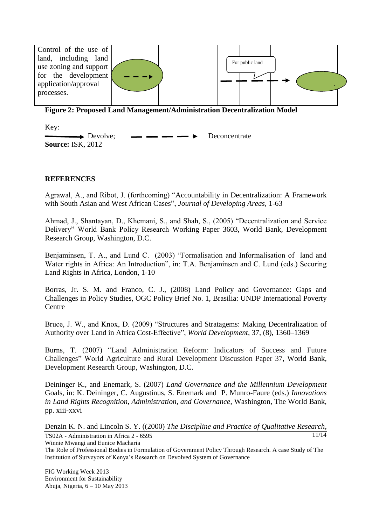

**Figure 2: Proposed Land Management/Administration Decentralization Model** 

Key:

 $\rightarrow$  Devolve;  $\rightarrow$   $\rightarrow$  Deconcentrate **Source:** ISK, 2012

### **REFERENCES**

Agrawal, A., and Ribot, J. (forthcoming) "Accountability in Decentralization: A Framework with South Asian and West African Cases", *Journal of Developing Areas*, 1-63

Ahmad, J., Shantayan, D., Khemani, S., and Shah, S., (2005) "Decentralization and Service Delivery" World Bank Policy Research Working Paper 3603, World Bank, Development Research Group, Washington, D.C.

Benjaminsen, T. A., and Lund C. (2003) "Formalisation and Informalisation of land and Water rights in Africa: An Introduction", in: T.A. Benjaminsen and C. Lund (eds.) Securing Land Rights in Africa, London, 1-10

Borras, Jr. S. M. and Franco, C. J., (2008) Land Policy and Governance: Gaps and Challenges in Policy Studies, OGC Policy Brief No. 1, Brasilia: UNDP International Poverty Centre

Bruce, J. W., and Knox, D. (2009) "Structures and Stratagems: Making Decentralization of Authority over Land in Africa Cost-Effective", *World Development*, 37, (8), 1360–1369

Burns, T. (2007) "Land Administration Reform: Indicators of Success and Future Challenges" World Agriculture and Rural Development Discussion Paper 37, World Bank, Development Research Group, Washington, D.C.

Deininger K., and Enemark, S. (2007) *Land Governance and the Millennium Development* Goals, in: K. Deininger, C. Augustinus, S. Enemark and P. Munro-Faure (eds.) *Innovations in Land Rights Recognition, Administration, and Governance*, Washington, The World Bank, pp. xiii-xxvi

TS02A - Administration in Africa 2 - 6595 11/14 Denzin K. N. and Lincoln S. Y. ((2000) *The Discipline and Practice of Qualitative Research*,

Winnie Mwangi and Eunice Macharia

The Role of Professional Bodies in Formulation of Government Policy Through Research. A case Study of The Institution of Surveyors of Kenya"s Research on Devolved System of Governance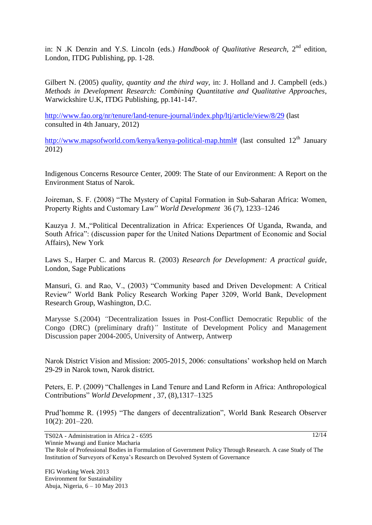in: N .K Denzin and Y.S. Lincoln (eds.) *Handbook of Qualitative Research*, 2<sup>nd</sup> edition, London, ITDG Publishing, pp. 1-28.

Gilbert N. (2005) *quality, quantity and the third way,* in: J. Holland and J. Campbell (eds.) *Methods in Development Research: Combining Quantitative and Qualitative Approaches*, Warwickshire U.K, ITDG Publishing, pp.141-147.

<http://www.fao.org/nr/tenure/land-tenure-journal/index.php/ltj/article/view/8/29> (last consulted in 4th January, 2012)

[http://www.mapsofworld.com/kenya/kenya-political-map.html#](http://www.mapsofworld.com/kenya/kenya-political-map.html) (last consulted 12<sup>th</sup> January 2012)

Indigenous Concerns Resource Center, 2009: The State of our Environment: A Report on the Environment Status of Narok.

Joireman, S. F. (2008) "The Mystery of Capital Formation in Sub-Saharan Africa: Women, Property Rights and Customary Law" *World Development* 36 (7), 1233–1246

Kauzya J. M.,"Political Decentralization in Africa: Experiences Of Uganda, Rwanda, and South Africa": (discussion paper for the United Nations Department of Economic and Social Affairs), New York

Laws S., Harper C. and Marcus R. (2003) *Research for Development: A practical guide*, London, Sage Publications

Mansuri, G. and Rao, V., (2003) "Community based and Driven Development: A Critical Review" World Bank Policy Research Working Paper 3209, World Bank, Development Research Group, Washington, D.C.

Marysse S.(2004) *"*Decentralization Issues in Post-Conflict Democratic Republic of the Congo (DRC) (preliminary draft)*"* Institute of Development Policy and Management Discussion paper 2004-2005, University of Antwerp, Antwerp

Narok District Vision and Mission: 2005-2015, 2006: consultations" workshop held on March 29-29 in Narok town, Narok district.

Peters, E. P. (2009) "Challenges in Land Tenure and Land Reform in Africa: Anthropological Contributions" *World Development* , 37, (8),1317–1325

Prud"homme R. (1995) "The dangers of decentralization", World Bank Research Observer 10(2): 201–220.

TS02A - Administration in Africa 2 - 6595

Winnie Mwangi and Eunice Macharia

The Role of Professional Bodies in Formulation of Government Policy Through Research. A case Study of The Institution of Surveyors of Kenya"s Research on Devolved System of Governance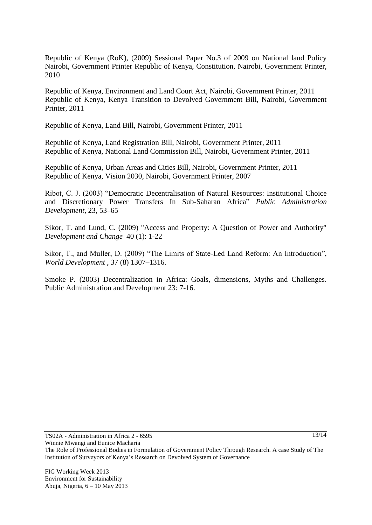Republic of Kenya (RoK), (2009) Sessional Paper No.3 of 2009 on National land Policy Nairobi, Government Printer Republic of Kenya, Constitution, Nairobi, Government Printer, 2010

Republic of Kenya, Environment and Land Court Act, Nairobi, Government Printer, 2011 Republic of Kenya, Kenya Transition to Devolved Government Bill, Nairobi, Government Printer, 2011

Republic of Kenya, Land Bill, Nairobi, Government Printer, 2011

Republic of Kenya, Land Registration Bill, Nairobi, Government Printer, 2011 Republic of Kenya, National Land Commission Bill, Nairobi, Government Printer, 2011

Republic of Kenya, Urban Areas and Cities Bill, Nairobi, Government Printer, 2011 Republic of Kenya, Vision 2030, Nairobi, Government Printer, 2007

Ribot, C. J. (2003) "Democratic Decentralisation of Natural Resources: Institutional Choice and Discretionary Power Transfers In Sub-Saharan Africa" *Public Administration Development*, 23, 53–65

Sikor, T. and Lund, C. (2009) "Access and Property: A Question of Power and Authority" *Development and Change* 40 (1): 1-22

Sikor, T., and Muller, D. (2009) "The Limits of State-Led Land Reform: An Introduction", *World Development* , 37 (8) 1307–1316.

Smoke P. (2003) Decentralization in Africa: Goals, dimensions, Myths and Challenges. Public Administration and Development 23: 7-16.

TS02A - Administration in Africa 2 - 6595

The Role of Professional Bodies in Formulation of Government Policy Through Research. A case Study of The Institution of Surveyors of Kenya"s Research on Devolved System of Governance